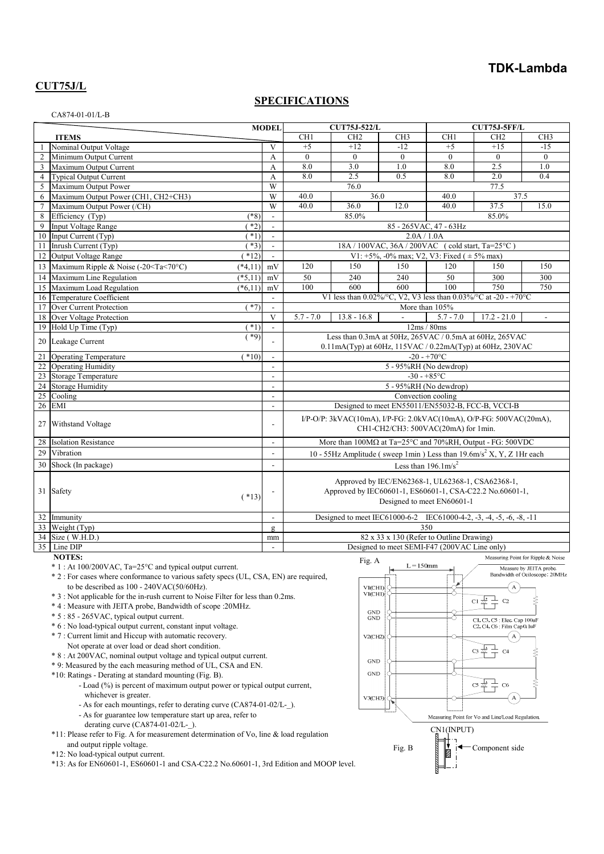## **TDK-Lambda**

# **CUT75J/L**

#### **SPECIFICATIONS**

|                                                               |                                                                                                                                                                           |           | <b>CUT75J-522/L</b><br><b>MODEL</b> |                                                                                 | CUT75J-5FF/L              |                          |                                              |                         |               |  |
|---------------------------------------------------------------|---------------------------------------------------------------------------------------------------------------------------------------------------------------------------|-----------|-------------------------------------|---------------------------------------------------------------------------------|---------------------------|--------------------------|----------------------------------------------|-------------------------|---------------|--|
|                                                               | <b>ITEMS</b>                                                                                                                                                              |           |                                     | CH1                                                                             | CH <sub>2</sub>           | CH <sub>3</sub>          | CH1                                          | CH <sub>2</sub>         | CH3           |  |
|                                                               | Nominal Output Voltage                                                                                                                                                    |           | V                                   | $+5$                                                                            | $+12$                     | $-12$                    | $+5$                                         | $+15$                   | $-15$         |  |
| $\mathfrak{2}$                                                | Minimum Output Current                                                                                                                                                    |           | А                                   | $\theta$                                                                        | $\theta$                  | $\mathbf{0}$             | $\theta$                                     | $\theta$                | $\theta$      |  |
| 3                                                             | Maximum Output Current                                                                                                                                                    |           | A                                   | 8.0                                                                             | 3.0                       | 1.0                      | 8.0                                          | 2.5                     | 1.0           |  |
| $\overline{4}$                                                | <b>Typical Output Current</b>                                                                                                                                             |           | A                                   | 8.0                                                                             | 2.5                       | 0.5                      | 8.0                                          | 2.0                     | 0.4           |  |
| 5                                                             | Maximum Output Power                                                                                                                                                      |           | W                                   |                                                                                 | 76.0                      |                          |                                              | 77.5                    |               |  |
| 6                                                             | Maximum Output Power (CH1, CH2+CH3)                                                                                                                                       |           | W                                   | 40.0                                                                            | 36.0                      |                          | 40.0                                         | 37.5                    |               |  |
| $\tau$                                                        | Maximum Output Power (/CH)                                                                                                                                                |           | W                                   | 40.0                                                                            | 36.0                      | 12.0                     | 40.0                                         | 37.5                    | 15.0          |  |
| 8                                                             | Efficiency (Typ)                                                                                                                                                          | $(*8)$    |                                     |                                                                                 | 85.0%                     |                          |                                              | 85.0%                   |               |  |
| 9                                                             | Input Voltage Range                                                                                                                                                       | $*2)$     | $\overline{\phantom{a}}$            | 85 - 265 VAC, 47 - 63 Hz                                                        |                           |                          |                                              |                         |               |  |
| 10                                                            | Input Current (Typ)                                                                                                                                                       | $*1)$     | $\blacksquare$                      | 2.0A / 1.0A                                                                     |                           |                          |                                              |                         |               |  |
| 11                                                            | Inrush Current (Typ)                                                                                                                                                      | $*3)$     |                                     | 18A / 100VAC, 36A / 200VAC (cold start, Ta=25°C)                                |                           |                          |                                              |                         |               |  |
| 12                                                            | Output Voltage Range                                                                                                                                                      | $*12)$    |                                     | V1: +5%, -0% max; V2, V3: Fixed ( $\pm$ 5% max)                                 |                           |                          |                                              |                         |               |  |
| 13                                                            | Maximum Ripple & Noise (-20 <ta<70°c)< td=""><td><math>(*4,11)</math></td><td>mV</td><td>120</td><td>150</td><td>150</td><td>120</td><td>150</td><td>150</td></ta<70°c)<> | $(*4,11)$ | mV                                  | 120                                                                             | 150                       | 150                      | 120                                          | 150                     | 150           |  |
| 14                                                            | Maximum Line Regulation                                                                                                                                                   | $(*5.11)$ | mV                                  | 50                                                                              | 240                       | 240                      | 50                                           | 300                     | 300           |  |
| 15                                                            | Maximum Load Regulation                                                                                                                                                   | $(*6,11)$ | mV                                  | 100                                                                             | 600                       | 600                      | 100                                          | 750                     | 750           |  |
| 16                                                            | Temperature Coefficient                                                                                                                                                   |           | $\mathcal{L}$                       | V1 less than $0.02\%$ /°C, V2, V3 less than $0.03\%$ /°C at -20 - +70°C         |                           |                          |                                              |                         |               |  |
| 17                                                            | Over Current Protection                                                                                                                                                   | $(*7)$    | $\overline{\phantom{a}}$            |                                                                                 |                           |                          | More than 105%                               |                         |               |  |
| 18                                                            | Over Voltage Protection                                                                                                                                                   |           | V                                   | $5.7 - 7.0$                                                                     | $13.8 - 16.8$             | $\overline{a}$           | $5.7 - 7.0$                                  | $17.2 - 21.0$           | $\mathcal{L}$ |  |
| 19                                                            | Hold Up Time (Typ)                                                                                                                                                        | $(*1)$    | $\blacksquare$                      | 12ms / 80ms                                                                     |                           |                          |                                              |                         |               |  |
|                                                               |                                                                                                                                                                           | $(*9)$    |                                     | Less than 0.3mA at 50Hz, 265VAC / 0.5mA at 60Hz, 265VAC                         |                           |                          |                                              |                         |               |  |
|                                                               | Leakage Current<br>20                                                                                                                                                     |           |                                     | 0.11mA(Typ) at 60Hz, 115VAC / 0.22mA(Typ) at 60Hz, 230VAC                       |                           |                          |                                              |                         |               |  |
| 21                                                            | <b>Operating Temperature</b>                                                                                                                                              | $(*10)$   |                                     |                                                                                 |                           |                          | $-20 - +70$ °C                               |                         |               |  |
| 22                                                            | <b>Operating Humidity</b>                                                                                                                                                 |           |                                     |                                                                                 |                           |                          | 5 - 95%RH (No dewdrop)                       |                         |               |  |
| 23                                                            | Storage Temperature                                                                                                                                                       |           | $\mathbf{r}$                        |                                                                                 |                           |                          | $-30 - +85$ °C                               |                         |               |  |
| 24                                                            | <b>Storage Humidity</b>                                                                                                                                                   |           | L.                                  | 5 - 95%RH (No dewdrop)                                                          |                           |                          |                                              |                         |               |  |
| 25                                                            | Cooling                                                                                                                                                                   |           | $\mathbf{r}$                        | Convection cooling                                                              |                           |                          |                                              |                         |               |  |
| $\overline{26}$                                               | <b>EMI</b>                                                                                                                                                                |           | $\blacksquare$                      | Designed to meet EN55011/EN55032-B, FCC-B, VCCI-B                               |                           |                          |                                              |                         |               |  |
|                                                               | Withstand Voltage                                                                                                                                                         |           | L.                                  | I/P-O/P: 3kVAC(10mA), I/P-FG: 2.0kVAC(10mA), O/P-FG: 500VAC(20mA),              |                           |                          |                                              |                         |               |  |
| 27                                                            |                                                                                                                                                                           |           |                                     | CH1-CH2/CH3: 500VAC(20mA) for 1min.                                             |                           |                          |                                              |                         |               |  |
| 28                                                            | <b>Isolation Resistance</b>                                                                                                                                               |           |                                     |                                                                                 |                           |                          |                                              |                         |               |  |
|                                                               |                                                                                                                                                                           |           | $\blacksquare$                      | More than 100MΩ at Ta=25°C and 70%RH, Output - FG: 500VDC                       |                           |                          |                                              |                         |               |  |
| 29                                                            | Vibration                                                                                                                                                                 |           | $\blacksquare$                      | 10 - 55Hz Amplitude (sweep 1min) Less than $19.6 \text{m/s}^2$ X, Y, Z 1Hr each |                           |                          |                                              |                         |               |  |
| 30                                                            | Shock (In package)                                                                                                                                                        |           | $\overline{a}$                      | Less than $196.1 \text{m/s}^2$                                                  |                           |                          |                                              |                         |               |  |
|                                                               | 31 Safety                                                                                                                                                                 | $(*13)$   |                                     | Approved by IEC/EN62368-1, UL62368-1, CSA62368-1,                               |                           |                          |                                              |                         |               |  |
|                                                               |                                                                                                                                                                           |           |                                     | Approved by IEC60601-1, ES60601-1, CSA-C22.2 No.60601-1,                        |                           |                          |                                              |                         |               |  |
|                                                               |                                                                                                                                                                           |           |                                     | Designed to meet EN60601-1                                                      |                           |                          |                                              |                         |               |  |
|                                                               |                                                                                                                                                                           |           |                                     |                                                                                 |                           |                          |                                              |                         |               |  |
|                                                               | 32 Immunity                                                                                                                                                               |           | $\sim$                              | Designed to meet IEC61000-6-2 IEC61000-4-2, -3, -4, -5, -6, -8, -11             |                           |                          |                                              |                         |               |  |
|                                                               | 33 Weight (Typ)                                                                                                                                                           |           | g                                   | 350                                                                             |                           |                          |                                              |                         |               |  |
|                                                               | 34 Size (W.H.D.)                                                                                                                                                          |           | mm                                  |                                                                                 |                           |                          | 82 x 33 x 130 (Refer to Outline Drawing)     |                         |               |  |
|                                                               | 35 Line DIP                                                                                                                                                               |           |                                     |                                                                                 |                           |                          | Designed to meet SEMI-F47 (200VAC Line only) |                         |               |  |
| <b>NOTES:</b><br>Measuring Point for Ripple & Noise<br>Fig. A |                                                                                                                                                                           |           |                                     |                                                                                 |                           |                          |                                              |                         |               |  |
|                                                               | * 1 : At 100/200VAC, Ta=25°C and typical output current.                                                                                                                  |           |                                     |                                                                                 | $L = 150$ mm<br><u>__</u> | $\overline{\phantom{0}}$ |                                              | Measure by JEITA probe. |               |  |

\* 2 : For cases where conformance to various safety specs (UL, CSA, EN) are required, to be described as  $100 - 240 \text{VAC}(50/60 \text{Hz})$ .

- \* 3 : Not applicable for the in-rush current to Noise Filter for less than 0.2ms.
- \* 4 : Measure with JEITA probe, Bandwidth of scope :20MHz.
- \* 5 : 85 265VAC, typical output current.
- \* 6 : No load-typical output current, constant input voltage.
- \* 7 : Current limit and Hiccup with automatic recovery.
	- Not operate at over load or dead short condition.
- \* 8 : At 200VAC, nominal output voltage and typical output current.
- \* 9: Measured by the each measuring method of UL, CSA and EN.
- \*10: Ratings Derating at standard mounting (Fig. B).
	- Load (%) is percent of maximum output power or typical output current, whichever is greater.
	- As for each mountings, refer to derating curve (CA874-01-02/L-\_).
	- As for guarantee low temperature start up area, refer to derating curve (CA874-01-02/L-\_).

\*11: Please refer to Fig. A for measurement determination of Vo, line & load regulation and output ripple voltage.

\*12: No load-typical output current.

 $*13: As for EN60601-1, ES60601-1 and CSA-C22.2 No.60601-1, 3rd Edition and MOOP level.$